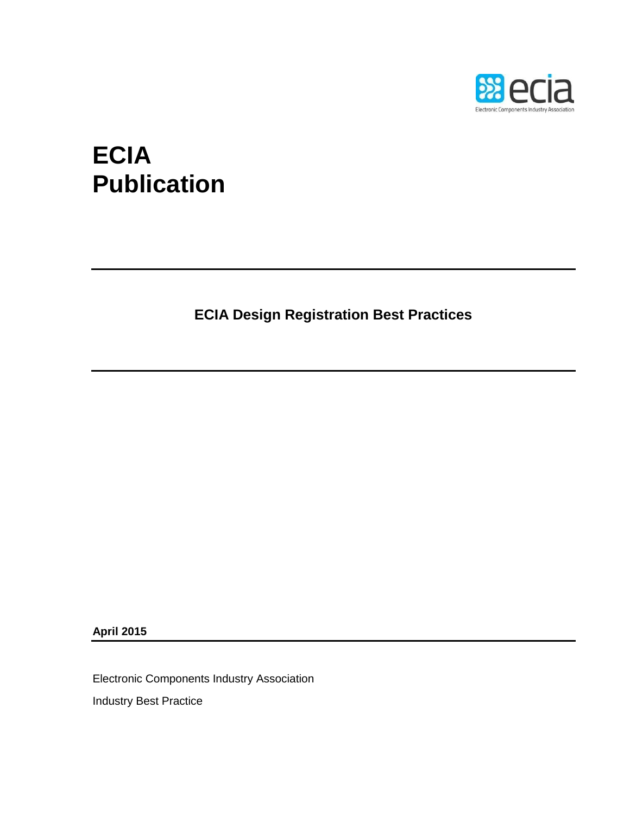

# **ECIA Publication**

**ECIA Design Registration Best Practices**

**April 2015**

Electronic Components Industry Association

Industry Best Practice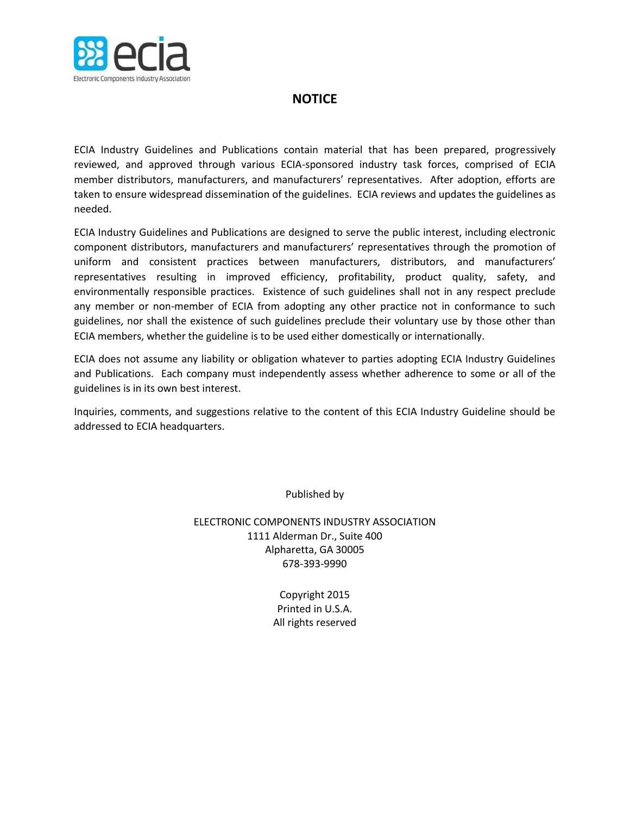

## **NOTICE**

ECIA Industry Guidelines and Publications contain material that has been prepared, progressively reviewed, and approved through various ECIA-sponsored industry task forces, comprised of ECIA member distributors, manufacturers, and manufacturers' representatives. After adoption, efforts are taken to ensure widespread dissemination of the guidelines. ECIA reviews and updates the guidelines as needed.

ECIA Industry Guidelines and Publications are designed to serve the public interest, including electronic component distributors, manufacturers and manufacturers' representatives through the promotion of uniform and consistent practices between manufacturers, distributors, and manufacturers' representatives resulting in improved efficiency, profitability, product quality, safety, and environmentally responsible practices. Existence of such guidelines shall not in any respect preclude any member or non-member of ECIA from adopting any other practice not in conformance to such guidelines, nor shall the existence of such guidelines preclude their voluntary use by those other than ECIA members, whether the guideline is to be used either domestically or internationally.

ECIA does not assume any liability or obligation whatever to parties adopting ECIA Industry Guidelines and Publications. Each company must independently assess whether adherence to some or all of the guidelines is in its own best interest.

Inquiries, comments, and suggestions relative to the content of this ECIA Industry Guideline should be addressed to ECIA headquarters.

Published by

ELECTRONIC COMPONENTS INDUSTRY ASSOCIATION 1111 Alderman Dr., Suite 400 Alpharetta, GA 30005 678-393-9990

> Copyright 2015 Printed in U.S.A. All rights reserved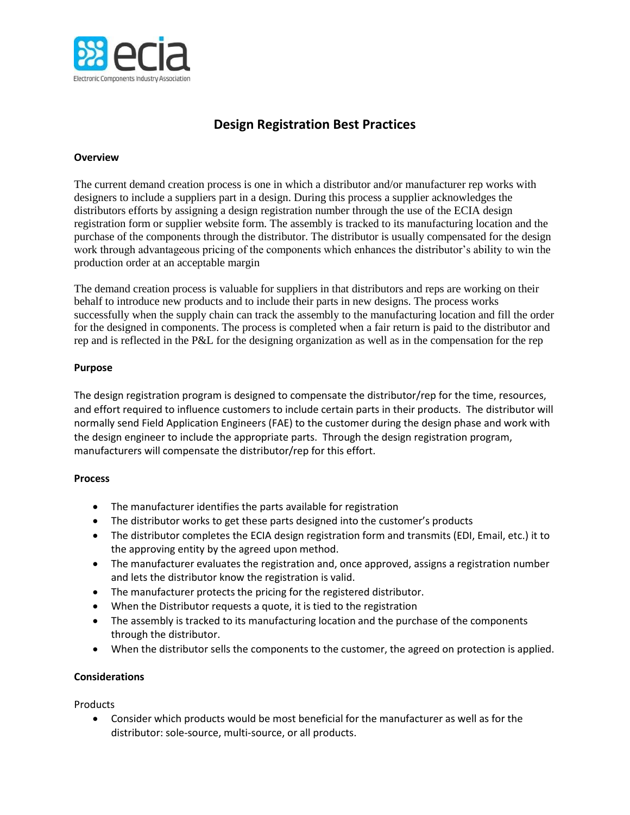

## **Design Registration Best Practices**

#### **Overview**

The current demand creation process is one in which a distributor and/or manufacturer rep works with designers to include a suppliers part in a design. During this process a supplier acknowledges the distributors efforts by assigning a design registration number through the use of the ECIA design registration form or supplier website form. The assembly is tracked to its manufacturing location and the purchase of the components through the distributor. The distributor is usually compensated for the design work through advantageous pricing of the components which enhances the distributor's ability to win the production order at an acceptable margin

The demand creation process is valuable for suppliers in that distributors and reps are working on their behalf to introduce new products and to include their parts in new designs. The process works successfully when the supply chain can track the assembly to the manufacturing location and fill the order for the designed in components. The process is completed when a fair return is paid to the distributor and rep and is reflected in the P&L for the designing organization as well as in the compensation for the rep

#### **Purpose**

The design registration program is designed to compensate the distributor/rep for the time, resources, and effort required to influence customers to include certain parts in their products. The distributor will normally send Field Application Engineers (FAE) to the customer during the design phase and work with the design engineer to include the appropriate parts. Through the design registration program, manufacturers will compensate the distributor/rep for this effort.

#### **Process**

- The manufacturer identifies the parts available for registration
- The distributor works to get these parts designed into the customer's products
- The distributor completes the ECIA design registration form and transmits (EDI, Email, etc.) it to the approving entity by the agreed upon method.
- The manufacturer evaluates the registration and, once approved, assigns a registration number and lets the distributor know the registration is valid.
- The manufacturer protects the pricing for the registered distributor.
- When the Distributor requests a quote, it is tied to the registration
- The assembly is tracked to its manufacturing location and the purchase of the components through the distributor.
- When the distributor sells the components to the customer, the agreed on protection is applied.

#### **Considerations**

**Products** 

 Consider which products would be most beneficial for the manufacturer as well as for the distributor: sole-source, multi-source, or all products.